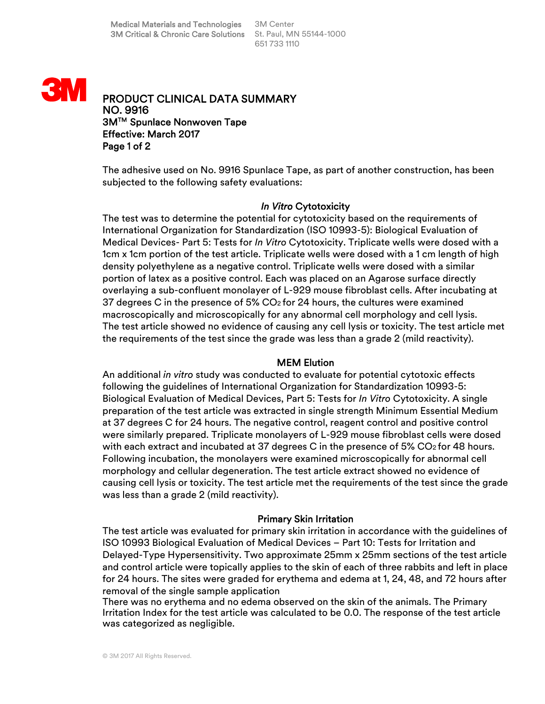

PRODUCT CLINICAL DATA SUMMARY NO. 9916 3MTM Spunlace Nonwoven Tape Effective: March 2017 Page 1 of 2

The adhesive used on No. 9916 Spunlace Tape, as part of another construction, has been subjected to the following safety evaluations:

# *In Vitro* Cytotoxicity

The test was to determine the potential for cytotoxicity based on the requirements of International Organization for Standardization (ISO 10993-5): Biological Evaluation of Medical Devices- Part 5: Tests for *In Vitro* Cytotoxicity. Triplicate wells were dosed with a 1cm x 1cm portion of the test article. Triplicate wells were dosed with a 1 cm length of high density polyethylene as a negative control. Triplicate wells were dosed with a similar portion of latex as a positive control. Each was placed on an Agarose surface directly overlaying a sub-confluent monolayer of L-929 mouse fibroblast cells. After incubating at 37 degrees C in the presence of 5%  $CO<sub>2</sub>$  for 24 hours, the cultures were examined macroscopically and microscopically for any abnormal cell morphology and cell lysis. The test article showed no evidence of causing any cell lysis or toxicity. The test article met the requirements of the test since the grade was less than a grade 2 (mild reactivity).

# MEM Elution

An additional *in vitro* study was conducted to evaluate for potential cytotoxic effects following the guidelines of International Organization for Standardization 10993-5: Biological Evaluation of Medical Devices, Part 5: Tests for *In Vitro* Cytotoxicity. A single preparation of the test article was extracted in single strength Minimum Essential Medium at 37 degrees C for 24 hours. The negative control, reagent control and positive control were similarly prepared. Triplicate monolayers of L-929 mouse fibroblast cells were dosed with each extract and incubated at 37 degrees C in the presence of 5% CO2 for 48 hours. Following incubation, the monolayers were examined microscopically for abnormal cell morphology and cellular degeneration. The test article extract showed no evidence of causing cell lysis or toxicity. The test article met the requirements of the test since the grade was less than a grade 2 (mild reactivity).

### Primary Skin Irritation

The test article was evaluated for primary skin irritation in accordance with the guidelines of ISO 10993 Biological Evaluation of Medical Devices – Part 10: Tests for Irritation and Delayed-Type Hypersensitivity. Two approximate 25mm x 25mm sections of the test article and control article were topically applies to the skin of each of three rabbits and left in place for 24 hours. The sites were graded for erythema and edema at 1, 24, 48, and 72 hours after removal of the single sample application

There was no erythema and no edema observed on the skin of the animals. The Primary Irritation Index for the test article was calculated to be 0.0. The response of the test article was categorized as negligible.